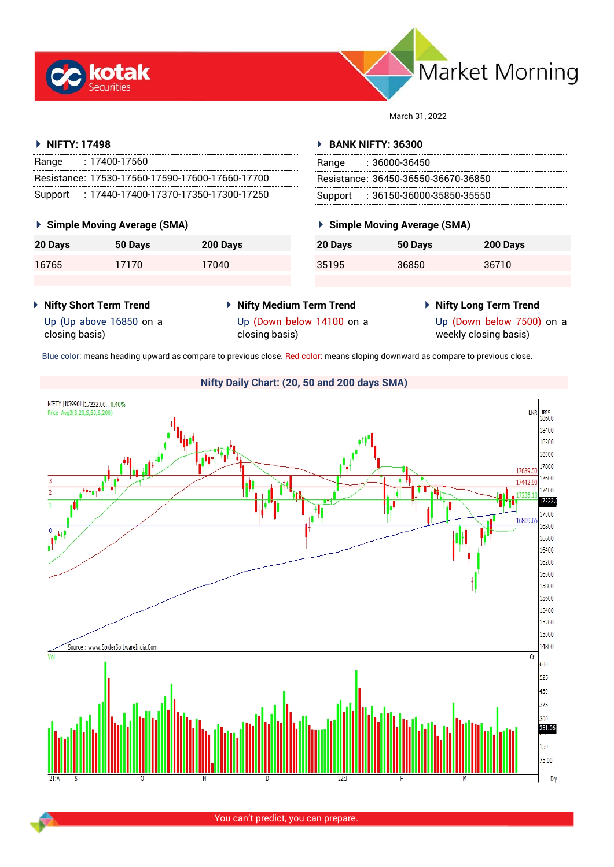



March 31, 2022

## **NIFTY: 17498**

| Range   | : 17400-17560                                     |
|---------|---------------------------------------------------|
|         | Resistance: 17530-17560-17590-17600-17660-17700   |
| Support | $: 17440 - 17400 - 17370 - 17350 - 17300 - 17250$ |

## **Simple Moving Average (SMA)**

| 20 Days | 50 Days | 200 Days |
|---------|---------|----------|
| 16765   | 17170   | 17040    |

## **BANK NIFTY: 36300**

| Range | : 36000-36450                       |
|-------|-------------------------------------|
|       | Resistance: 36450-36550-36670-36850 |
|       | Support: : 36150-36000-35850-35550  |

## **Simple Moving Average (SMA)**

| 20 Days | 50 Days | 200 Days |
|---------|---------|----------|
| 35195   | 36850   | 36710    |

- **Nifty Short Term Trend**
- **Nifty Medium Term Trend**
- **Nifty Long Term Trend**

Up (Up above 16850 on a closing basis)

Up (Down below 14100 on a closing basis)

Up (Down below 7500) on a weekly closing basis)

Blue color: means heading upward as compare to previous close. Red color: means sloping downward as compare to previous close.



You can't predict, you can prepare.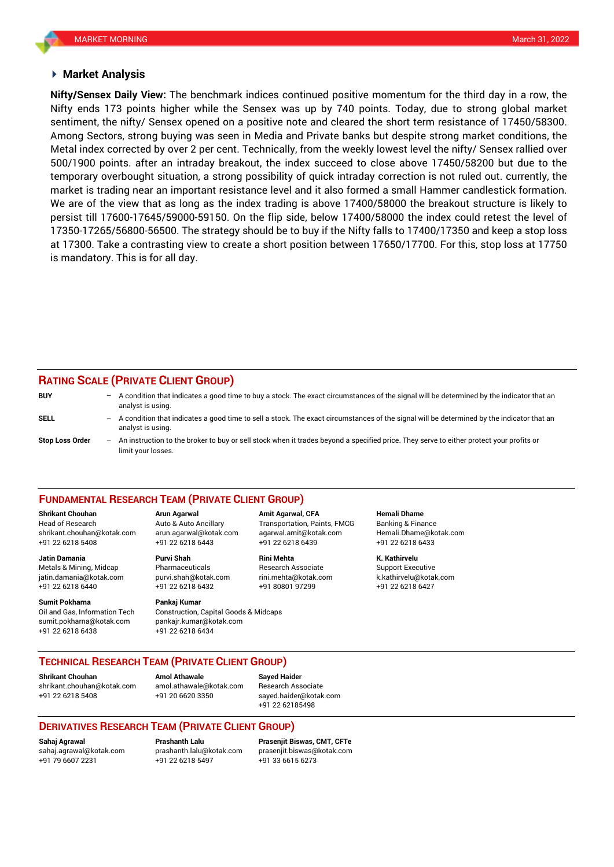### **Market Analysis**

Nifty ends 173 points higher while the Sensex was up by 740 points. Today, due to strong global market **Nifty/Sensex Daily View:** The benchmark indices continued positive momentum for the third day in a row, the sentiment, the nifty/ Sensex opened on a positive note and cleared the short term resistance of 17450/58300. Among Sectors, strong buying was seen in Media and Private banks but despite strong market conditions, the Metal index corrected by over 2 per cent. Technically, from the weekly lowest level the nifty/ Sensex rallied over 500/1900 points. after an intraday breakout, the index succeed to close above 17450/58200 but due to the temporary overbought situation, a strong possibility of quick intraday correction is not ruled out. currently, the market is trading near an important resistance level and it also formed a small Hammer candlestick formation. We are of the view that as long as the index trading is above 17400/58000 the breakout structure is likely to persist till 17600-17645/59000-59150. On the flip side, below 17400/58000 the index could retest the level of 17350-17265/56800-56500. The strategy should be to buy if the Nifty falls to 17400/17350 and keep a stop loss at 17300. Take a contrasting view to create a short position between 17650/17700. For this, stop loss at 17750 is mandatory. This is for all day.

## **RATING SCALE (PRIVATE CLIENT GROUP)**

limit your losses.

| <b>BUY</b>             |     | - A condition that indicates a good time to buy a stock. The exact circumstances of the signal will be determined by the indicator that an<br>analyst is using.  |
|------------------------|-----|------------------------------------------------------------------------------------------------------------------------------------------------------------------|
| SELL                   |     | - A condition that indicates a good time to sell a stock. The exact circumstances of the signal will be determined by the indicator that an<br>analyst is using. |
| <b>Stop Loss Order</b> | $-$ | An instruction to the broker to buy or sell stock when it trades beyond a specified price. They serve to either protect your profits or                          |

#### **FUNDAMENTAL RESEARCH TEAM (PRIVATE CLIENT GROUP)**

Head of Research Auto & Auto Ancillary Transportation, Paints, FMCG Banking & Finance [shrikant.chouhan@kotak.com](mailto:shrikant.chouhan@kotak.com) arun.agarwal@kotak.com agarwal.amit@kotak.com Hemali.Dhame@kotak.com

**Jatin Damania Purvi Shah Rini Mehta K. Kathirvelu** Metals & Mining, Midcap Pharmaceuticals Research Associate Support Executive jatin.damania@kotak.com [purvi.shah@kotak.com](mailto:purvi.shah@kotak.com) rini.mehta@kotak.com [k.kathirvelu@kotak.com](mailto:k.kathirvelu@kotak.com) +91 22 6218 6440 +91 22 6218 6432 +91 80801 97299 +91 22 6218 6427

Oil and Gas, Information Tech Construction, Capital Goods & Midcaps sumit.pokharna@kotak.com pankajr.kumar@kotak.com

+91 22 6218 5408 +91 22 6218 6443 +91 22 6218 6439 +91 22 6218 6433

# **Sumit Pokharna Pankaj Kumar**

+91 22 6218 6438 +91 22 6218 6434

**Shrikant Chouhan Arun Agarwal Amit Agarwal, CFA Hemali Dhame**

**TECHNICAL RESEARCH TEAM (PRIVATE CLIENT GROUP)**

**Shrikant Chouhan Amol Athawale Sayed Haider**

[shrikant.chouhan@kotak.com](mailto:shrikant.chouhan@kotak.com) [amol.athawale@kotak.com](mailto:amol.athawale@kotak.com) Research Associate +91 22 6218 5408 +91 20 6620 3350 [sayed.haider@kotak.com](mailto:sayed.haider@kotak.com)

+91 22 62185498

## **DERIVATIVES RESEARCH TEAM (PRIVATE CLIENT GROUP)**

+91 79 6607 2231 +91 22 6218 5497 +91 33 6615 6273

**Sahaj Agrawal Prashanth Lalu Prasenjit Biswas, CMT, CFTe** [sahaj.agrawal@kotak.com](mailto:sahaj.agrawal@kotak.com) [prashanth.lalu@kotak.com](mailto:prashanth.lalu@kotak.com) [prasenjit.biswas@kotak.com](mailto:prasenjit.biswas@kotak.com)